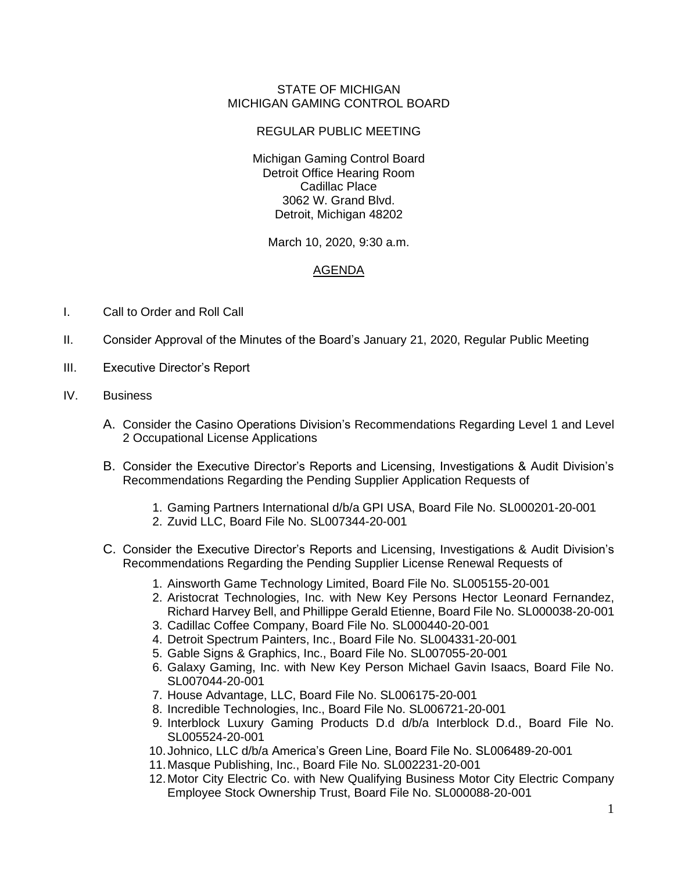## STATE OF MICHIGAN MICHIGAN GAMING CONTROL BOARD

## REGULAR PUBLIC MEETING

Michigan Gaming Control Board Detroit Office Hearing Room Cadillac Place 3062 W. Grand Blvd. Detroit, Michigan 48202

March 10, 2020, 9:30 a.m.

## AGENDA

- I. Call to Order and Roll Call
- II. Consider Approval of the Minutes of the Board's January 21, 2020, Regular Public Meeting
- III. Executive Director's Report
- IV. Business
	- A. Consider the Casino Operations Division's Recommendations Regarding Level 1 and Level 2 Occupational License Applications
	- B. Consider the Executive Director's Reports and Licensing, Investigations & Audit Division's Recommendations Regarding the Pending Supplier Application Requests of
		- 1. Gaming Partners International d/b/a GPI USA, Board File No. SL000201-20-001
		- 2. Zuvid LLC, Board File No. SL007344-20-001
	- C. Consider the Executive Director's Reports and Licensing, Investigations & Audit Division's Recommendations Regarding the Pending Supplier License Renewal Requests of
		- 1. Ainsworth Game Technology Limited, Board File No. SL005155-20-001
		- 2. Aristocrat Technologies, Inc. with New Key Persons Hector Leonard Fernandez, Richard Harvey Bell, and Phillippe Gerald Etienne, Board File No. SL000038-20-001
		- 3. Cadillac Coffee Company, Board File No. SL000440-20-001
		- 4. Detroit Spectrum Painters, Inc., Board File No. SL004331-20-001
		- 5. Gable Signs & Graphics, Inc., Board File No. SL007055-20-001
		- 6. Galaxy Gaming, Inc. with New Key Person Michael Gavin Isaacs, Board File No. SL007044-20-001
		- 7. House Advantage, LLC, Board File No. SL006175-20-001
		- 8. Incredible Technologies, Inc., Board File No. SL006721-20-001
		- 9. Interblock Luxury Gaming Products D.d d/b/a Interblock D.d., Board File No. SL005524-20-001
		- 10.Johnico, LLC d/b/a America's Green Line, Board File No. SL006489-20-001
		- 11.Masque Publishing, Inc., Board File No. SL002231-20-001
		- 12.Motor City Electric Co. with New Qualifying Business Motor City Electric Company Employee Stock Ownership Trust, Board File No. SL000088-20-001